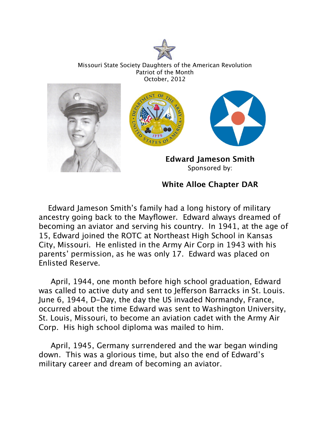

Missouri State Society Daughters of the American Revolution Patriot of the Month October, 2012



## **White Alloe Chapter DAR**

 Edward Jameson Smith's family had a long history of military ancestry going back to the Mayflower. Edward always dreamed of becoming an aviator and serving his country. In 1941, at the age of 15, Edward joined the ROTC at Northeast High School in Kansas City, Missouri. He enlisted in the Army Air Corp in 1943 with his parents' permission, as he was only 17. Edward was placed on Enlisted Reserve.

 April, 1944, one month before high school graduation, Edward was called to active duty and sent to Jefferson Barracks in St. Louis. June 6, 1944, D-Day, the day the US invaded Normandy, France, occurred about the time Edward was sent to Washington University, St. Louis, Missouri, to become an aviation cadet with the Army Air Corp. His high school diploma was mailed to him.

 April, 1945, Germany surrendered and the war began winding down. This was a glorious time, but also the end of Edward's military career and dream of becoming an aviator.